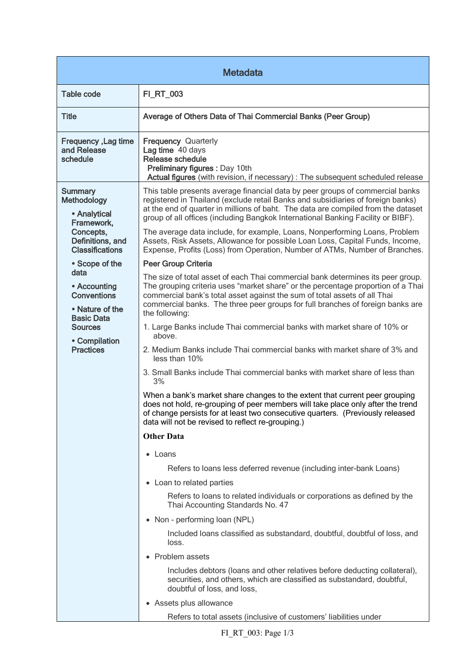| <b>Metadata</b>                                                                                                                           |                                                                                                                                                                                                                                                                                                                                                      |  |
|-------------------------------------------------------------------------------------------------------------------------------------------|------------------------------------------------------------------------------------------------------------------------------------------------------------------------------------------------------------------------------------------------------------------------------------------------------------------------------------------------------|--|
| <b>Table code</b>                                                                                                                         | FI_RT_003                                                                                                                                                                                                                                                                                                                                            |  |
| <b>Title</b>                                                                                                                              | Average of Others Data of Thai Commercial Banks (Peer Group)                                                                                                                                                                                                                                                                                         |  |
| Frequency, Lag time<br>and Release<br>schedule                                                                                            | <b>Frequency Quarterly</b><br>Lag time 40 days<br><b>Release schedule</b><br>Preliminary figures : Day 10th<br>Actual figures (with revision, if necessary) : The subsequent scheduled release                                                                                                                                                       |  |
| <b>Summary</b><br><b>Methodology</b><br>• Analytical<br>Framework,<br>Concepts,<br>Definitions, and<br><b>Classifications</b>             | This table presents average financial data by peer groups of commercial banks<br>registered in Thailand (exclude retail Banks and subsidiaries of foreign banks)<br>at the end of quarter in millions of baht. The data are compiled from the dataset<br>group of all offices (including Bangkok International Banking Facility or BIBF).            |  |
|                                                                                                                                           | The average data include, for example, Loans, Nonperforming Loans, Problem<br>Assets, Risk Assets, Allowance for possible Loan Loss, Capital Funds, Income,<br>Expense, Profits (Loss) from Operation, Number of ATMs, Number of Branches.                                                                                                           |  |
| • Scope of the                                                                                                                            | Peer Group Criteria                                                                                                                                                                                                                                                                                                                                  |  |
| data<br>• Accounting<br><b>Conventions</b><br>• Nature of the<br><b>Basic Data</b><br><b>Sources</b><br>• Compilation<br><b>Practices</b> | The size of total asset of each Thai commercial bank determines its peer group.<br>The grouping criteria uses "market share" or the percentage proportion of a Thai<br>commercial bank's total asset against the sum of total assets of all Thai<br>commercial banks. The three peer groups for full branches of foreign banks are<br>the following: |  |
|                                                                                                                                           | 1. Large Banks include Thai commercial banks with market share of 10% or<br>above.                                                                                                                                                                                                                                                                   |  |
|                                                                                                                                           | 2. Medium Banks include Thai commercial banks with market share of 3% and<br>less than 10%                                                                                                                                                                                                                                                           |  |
|                                                                                                                                           | 3. Small Banks include Thai commercial banks with market share of less than<br>3%                                                                                                                                                                                                                                                                    |  |
|                                                                                                                                           | When a bank's market share changes to the extent that current peer grouping<br>does not hold, re-grouping of peer members will take place only after the trend<br>of change persists for at least two consecutive quarters. (Previously released<br>data will not be revised to reflect re-grouping.)                                                |  |
|                                                                                                                                           | <b>Other Data</b>                                                                                                                                                                                                                                                                                                                                    |  |
|                                                                                                                                           | • Loans                                                                                                                                                                                                                                                                                                                                              |  |
|                                                                                                                                           | Refers to loans less deferred revenue (including inter-bank Loans)                                                                                                                                                                                                                                                                                   |  |
|                                                                                                                                           | • Loan to related parties                                                                                                                                                                                                                                                                                                                            |  |
|                                                                                                                                           | Refers to loans to related individuals or corporations as defined by the<br>Thai Accounting Standards No. 47                                                                                                                                                                                                                                         |  |
|                                                                                                                                           | • Non - performing loan (NPL)                                                                                                                                                                                                                                                                                                                        |  |
|                                                                                                                                           | Included loans classified as substandard, doubtful, doubtful of loss, and<br>loss.                                                                                                                                                                                                                                                                   |  |
|                                                                                                                                           | • Problem assets                                                                                                                                                                                                                                                                                                                                     |  |
|                                                                                                                                           | Includes debtors (loans and other relatives before deducting collateral),<br>securities, and others, which are classified as substandard, doubtful,<br>doubtful of loss, and loss,                                                                                                                                                                   |  |
|                                                                                                                                           | • Assets plus allowance                                                                                                                                                                                                                                                                                                                              |  |
|                                                                                                                                           | Refers to total assets (inclusive of customers' liabilities under                                                                                                                                                                                                                                                                                    |  |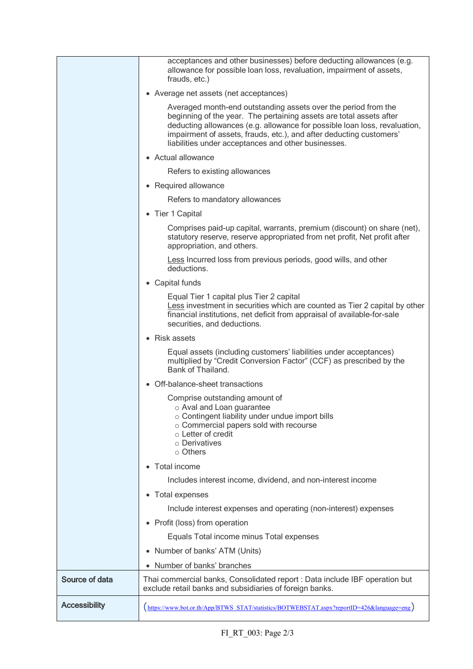|                      | acceptances and other businesses) before deducting allowances (e.g.<br>allowance for possible loan loss, revaluation, impairment of assets,<br>frauds, etc.)                                                                                                                                                                                     |
|----------------------|--------------------------------------------------------------------------------------------------------------------------------------------------------------------------------------------------------------------------------------------------------------------------------------------------------------------------------------------------|
|                      | • Average net assets (net acceptances)                                                                                                                                                                                                                                                                                                           |
|                      | Averaged month-end outstanding assets over the period from the<br>beginning of the year. The pertaining assets are total assets after<br>deducting allowances (e.g. allowance for possible loan loss, revaluation,<br>impairment of assets, frauds, etc.), and after deducting customers'<br>liabilities under acceptances and other businesses. |
|                      | • Actual allowance                                                                                                                                                                                                                                                                                                                               |
|                      | Refers to existing allowances                                                                                                                                                                                                                                                                                                                    |
|                      | • Required allowance                                                                                                                                                                                                                                                                                                                             |
|                      | Refers to mandatory allowances                                                                                                                                                                                                                                                                                                                   |
|                      | • Tier 1 Capital                                                                                                                                                                                                                                                                                                                                 |
|                      | Comprises paid-up capital, warrants, premium (discount) on share (net),<br>statutory reserve, reserve appropriated from net profit, Net profit after<br>appropriation, and others.                                                                                                                                                               |
|                      | Less Incurred loss from previous periods, good wills, and other<br>deductions.                                                                                                                                                                                                                                                                   |
|                      | • Capital funds                                                                                                                                                                                                                                                                                                                                  |
|                      | Equal Tier 1 capital plus Tier 2 capital<br>Less investment in securities which are counted as Tier 2 capital by other<br>financial institutions, net deficit from appraisal of available-for-sale<br>securities, and deductions.                                                                                                                |
|                      | • Risk assets                                                                                                                                                                                                                                                                                                                                    |
|                      | Equal assets (including customers' liabilities under acceptances)<br>multiplied by "Credit Conversion Factor" (CCF) as prescribed by the<br>Bank of Thailand.                                                                                                                                                                                    |
|                      | • Off-balance-sheet transactions                                                                                                                                                                                                                                                                                                                 |
|                      | Comprise outstanding amount of<br>o Aval and Loan guarantee<br>o Contingent liability under undue import bills<br>o Commercial papers sold with recourse<br>$\circ$ Letter of credit<br>o Derivatives<br>○ Others                                                                                                                                |
|                      | • Total income                                                                                                                                                                                                                                                                                                                                   |
|                      | Includes interest income, dividend, and non-interest income                                                                                                                                                                                                                                                                                      |
|                      | • Total expenses                                                                                                                                                                                                                                                                                                                                 |
|                      | Include interest expenses and operating (non-interest) expenses                                                                                                                                                                                                                                                                                  |
|                      | • Profit (loss) from operation                                                                                                                                                                                                                                                                                                                   |
|                      | Equals Total income minus Total expenses                                                                                                                                                                                                                                                                                                         |
|                      | Number of banks' ATM (Units)<br>$\bullet$                                                                                                                                                                                                                                                                                                        |
|                      | Number of banks' branches                                                                                                                                                                                                                                                                                                                        |
| Source of data       | Thai commercial banks, Consolidated report : Data include IBF operation but<br>exclude retail banks and subsidiaries of foreign banks.                                                                                                                                                                                                           |
| <b>Accessibility</b> | (https://www.bot.or.th/App/BTWS_STAT/statistics/BOTWEBSTAT.aspx?reportID=426&language=eng)                                                                                                                                                                                                                                                       |